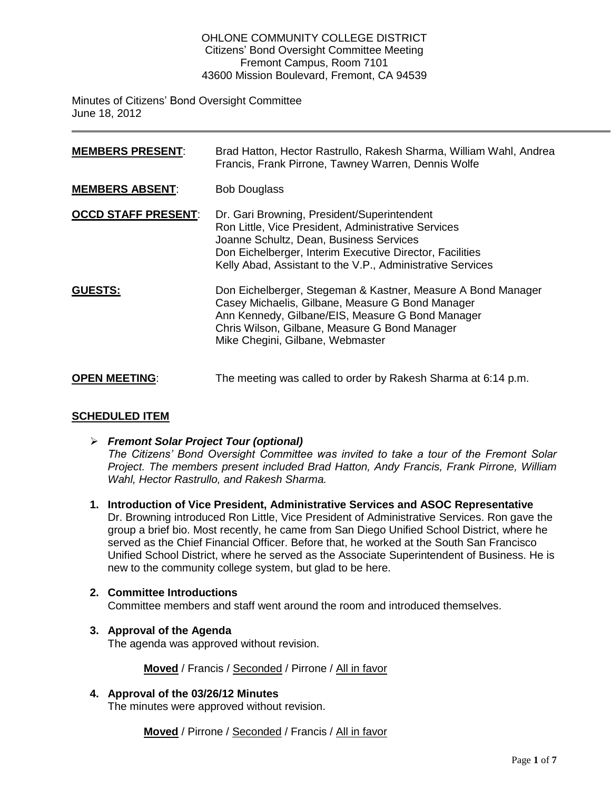#### OHLONE COMMUNITY COLLEGE DISTRICT Citizens' Bond Oversight Committee Meeting Fremont Campus, Room 7101 43600 Mission Boulevard, Fremont, CA 94539

Minutes of Citizens' Bond Oversight Committee June 18, 2012

| <b>MEMBERS PRESENT:</b>    | Brad Hatton, Hector Rastrullo, Rakesh Sharma, William Wahl, Andrea<br>Francis, Frank Pirrone, Tawney Warren, Dennis Wolfe                                                                                                                                               |
|----------------------------|-------------------------------------------------------------------------------------------------------------------------------------------------------------------------------------------------------------------------------------------------------------------------|
| <b>MEMBERS ABSENT:</b>     | <b>Bob Douglass</b>                                                                                                                                                                                                                                                     |
| <b>OCCD STAFF PRESENT:</b> | Dr. Gari Browning, President/Superintendent<br>Ron Little, Vice President, Administrative Services<br>Joanne Schultz, Dean, Business Services<br>Don Eichelberger, Interim Executive Director, Facilities<br>Kelly Abad, Assistant to the V.P., Administrative Services |
| <b>GUESTS:</b>             | Don Eichelberger, Stegeman & Kastner, Measure A Bond Manager<br>Casey Michaelis, Gilbane, Measure G Bond Manager<br>Ann Kennedy, Gilbane/EIS, Measure G Bond Manager<br>Chris Wilson, Gilbane, Measure G Bond Manager<br>Mike Chegini, Gilbane, Webmaster               |
| <b>OPEN MEETING:</b>       | The meeting was called to order by Rakesh Sharma at 6:14 p.m.                                                                                                                                                                                                           |

# **SCHEDULED ITEM**

- *Fremont Solar Project Tour (optional) The Citizens' Bond Oversight Committee was invited to take a tour of the Fremont Solar Project. The members present included Brad Hatton, Andy Francis, Frank Pirrone, William Wahl, Hector Rastrullo, and Rakesh Sharma.*
- **1. Introduction of Vice President, Administrative Services and ASOC Representative** Dr. Browning introduced Ron Little, Vice President of Administrative Services. Ron gave the group a brief bio. Most recently, he came from San Diego Unified School District, where he served as the Chief Financial Officer. Before that, he worked at the South San Francisco Unified School District, where he served as the Associate Superintendent of Business. He is new to the community college system, but glad to be here.

# **2. Committee Introductions**

Committee members and staff went around the room and introduced themselves.

# **3. Approval of the Agenda**

The agenda was approved without revision.

**Moved** / Francis / Seconded / Pirrone / All in favor

**4. Approval of the 03/26/12 Minutes**

The minutes were approved without revision.

**Moved** / Pirrone / Seconded / Francis / All in favor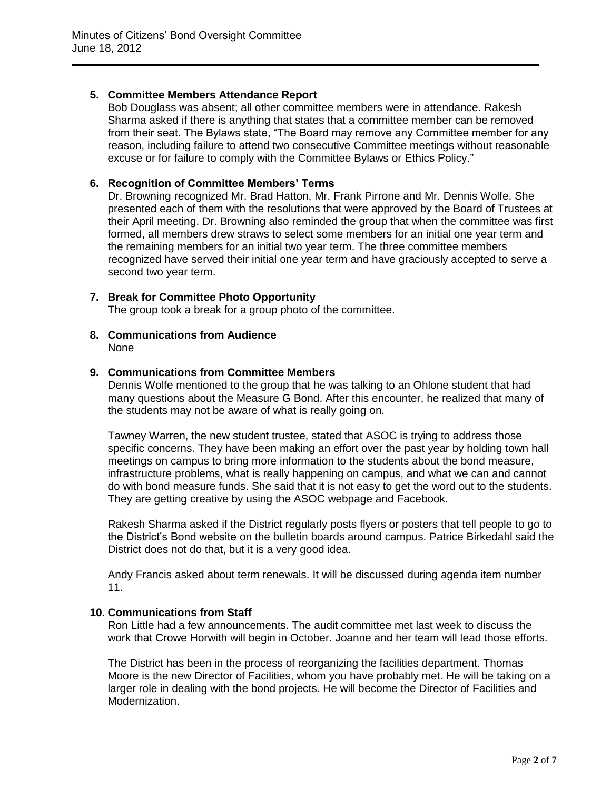# **5. Committee Members Attendance Report**

Bob Douglass was absent; all other committee members were in attendance. Rakesh Sharma asked if there is anything that states that a committee member can be removed from their seat. The Bylaws state, "The Board may remove any Committee member for any reason, including failure to attend two consecutive Committee meetings without reasonable excuse or for failure to comply with the Committee Bylaws or Ethics Policy."

#### **6. Recognition of Committee Members' Terms**

Dr. Browning recognized Mr. Brad Hatton, Mr. Frank Pirrone and Mr. Dennis Wolfe. She presented each of them with the resolutions that were approved by the Board of Trustees at their April meeting. Dr. Browning also reminded the group that when the committee was first formed, all members drew straws to select some members for an initial one year term and the remaining members for an initial two year term. The three committee members recognized have served their initial one year term and have graciously accepted to serve a second two year term.

#### **7. Break for Committee Photo Opportunity**

The group took a break for a group photo of the committee.

**8. Communications from Audience** None

#### **9. Communications from Committee Members**

Dennis Wolfe mentioned to the group that he was talking to an Ohlone student that had many questions about the Measure G Bond. After this encounter, he realized that many of the students may not be aware of what is really going on.

Tawney Warren, the new student trustee, stated that ASOC is trying to address those specific concerns. They have been making an effort over the past year by holding town hall meetings on campus to bring more information to the students about the bond measure, infrastructure problems, what is really happening on campus, and what we can and cannot do with bond measure funds. She said that it is not easy to get the word out to the students. They are getting creative by using the ASOC webpage and Facebook.

Rakesh Sharma asked if the District regularly posts flyers or posters that tell people to go to the District's Bond website on the bulletin boards around campus. Patrice Birkedahl said the District does not do that, but it is a very good idea.

Andy Francis asked about term renewals. It will be discussed during agenda item number 11.

#### **10. Communications from Staff**

Ron Little had a few announcements. The audit committee met last week to discuss the work that Crowe Horwith will begin in October. Joanne and her team will lead those efforts.

The District has been in the process of reorganizing the facilities department. Thomas Moore is the new Director of Facilities, whom you have probably met. He will be taking on a larger role in dealing with the bond projects. He will become the Director of Facilities and Modernization.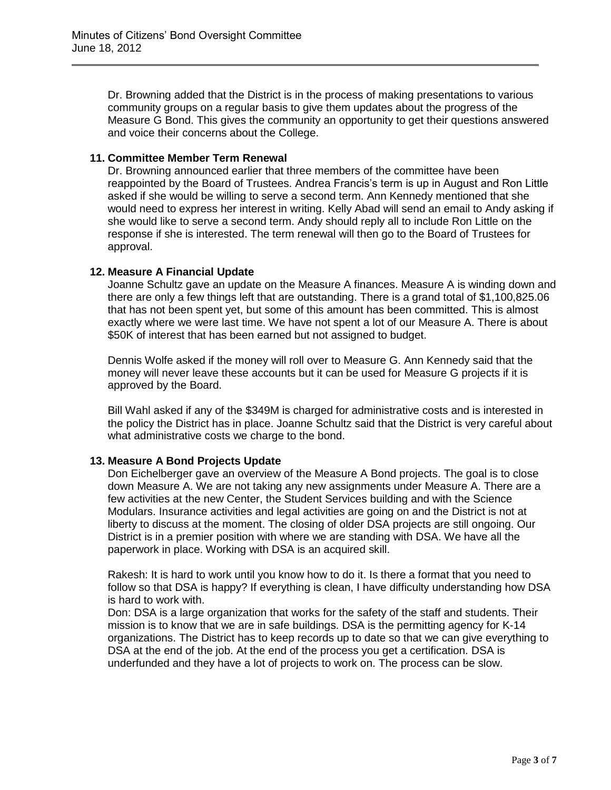Dr. Browning added that the District is in the process of making presentations to various community groups on a regular basis to give them updates about the progress of the Measure G Bond. This gives the community an opportunity to get their questions answered and voice their concerns about the College.

## **11. Committee Member Term Renewal**

Dr. Browning announced earlier that three members of the committee have been reappointed by the Board of Trustees. Andrea Francis's term is up in August and Ron Little asked if she would be willing to serve a second term. Ann Kennedy mentioned that she would need to express her interest in writing. Kelly Abad will send an email to Andy asking if she would like to serve a second term. Andy should reply all to include Ron Little on the response if she is interested. The term renewal will then go to the Board of Trustees for approval.

# **12. Measure A Financial Update**

Joanne Schultz gave an update on the Measure A finances. Measure A is winding down and there are only a few things left that are outstanding. There is a grand total of \$1,100,825.06 that has not been spent yet, but some of this amount has been committed. This is almost exactly where we were last time. We have not spent a lot of our Measure A. There is about \$50K of interest that has been earned but not assigned to budget.

Dennis Wolfe asked if the money will roll over to Measure G. Ann Kennedy said that the money will never leave these accounts but it can be used for Measure G projects if it is approved by the Board.

Bill Wahl asked if any of the \$349M is charged for administrative costs and is interested in the policy the District has in place. Joanne Schultz said that the District is very careful about what administrative costs we charge to the bond.

# **13. Measure A Bond Projects Update**

Don Eichelberger gave an overview of the Measure A Bond projects. The goal is to close down Measure A. We are not taking any new assignments under Measure A. There are a few activities at the new Center, the Student Services building and with the Science Modulars. Insurance activities and legal activities are going on and the District is not at liberty to discuss at the moment. The closing of older DSA projects are still ongoing. Our District is in a premier position with where we are standing with DSA. We have all the paperwork in place. Working with DSA is an acquired skill.

Rakesh: It is hard to work until you know how to do it. Is there a format that you need to follow so that DSA is happy? If everything is clean, I have difficulty understanding how DSA is hard to work with.

Don: DSA is a large organization that works for the safety of the staff and students. Their mission is to know that we are in safe buildings. DSA is the permitting agency for K-14 organizations. The District has to keep records up to date so that we can give everything to DSA at the end of the job. At the end of the process you get a certification. DSA is underfunded and they have a lot of projects to work on. The process can be slow.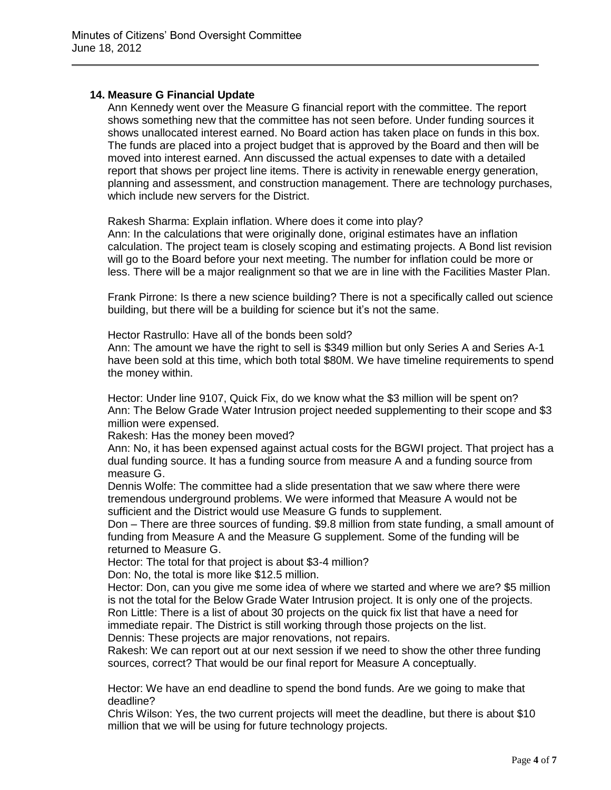#### **14. Measure G Financial Update**

Ann Kennedy went over the Measure G financial report with the committee. The report shows something new that the committee has not seen before. Under funding sources it shows unallocated interest earned. No Board action has taken place on funds in this box. The funds are placed into a project budget that is approved by the Board and then will be moved into interest earned. Ann discussed the actual expenses to date with a detailed report that shows per project line items. There is activity in renewable energy generation, planning and assessment, and construction management. There are technology purchases, which include new servers for the District.

Rakesh Sharma: Explain inflation. Where does it come into play?

Ann: In the calculations that were originally done, original estimates have an inflation calculation. The project team is closely scoping and estimating projects. A Bond list revision will go to the Board before your next meeting. The number for inflation could be more or less. There will be a major realignment so that we are in line with the Facilities Master Plan.

Frank Pirrone: Is there a new science building? There is not a specifically called out science building, but there will be a building for science but it's not the same.

Hector Rastrullo: Have all of the bonds been sold?

Ann: The amount we have the right to sell is \$349 million but only Series A and Series A-1 have been sold at this time, which both total \$80M. We have timeline requirements to spend the money within.

Hector: Under line 9107, Quick Fix, do we know what the \$3 million will be spent on? Ann: The Below Grade Water Intrusion project needed supplementing to their scope and \$3 million were expensed.

Rakesh: Has the money been moved?

Ann: No, it has been expensed against actual costs for the BGWI project. That project has a dual funding source. It has a funding source from measure A and a funding source from measure G.

Dennis Wolfe: The committee had a slide presentation that we saw where there were tremendous underground problems. We were informed that Measure A would not be sufficient and the District would use Measure G funds to supplement.

Don – There are three sources of funding. \$9.8 million from state funding, a small amount of funding from Measure A and the Measure G supplement. Some of the funding will be returned to Measure G.

Hector: The total for that project is about \$3-4 million?

Don: No, the total is more like \$12.5 million.

Hector: Don, can you give me some idea of where we started and where we are? \$5 million is not the total for the Below Grade Water Intrusion project. It is only one of the projects. Ron Little: There is a list of about 30 projects on the quick fix list that have a need for immediate repair. The District is still working through those projects on the list. Dennis: These projects are major renovations, not repairs.

Rakesh: We can report out at our next session if we need to show the other three funding sources, correct? That would be our final report for Measure A conceptually.

Hector: We have an end deadline to spend the bond funds. Are we going to make that deadline?

Chris Wilson: Yes, the two current projects will meet the deadline, but there is about \$10 million that we will be using for future technology projects.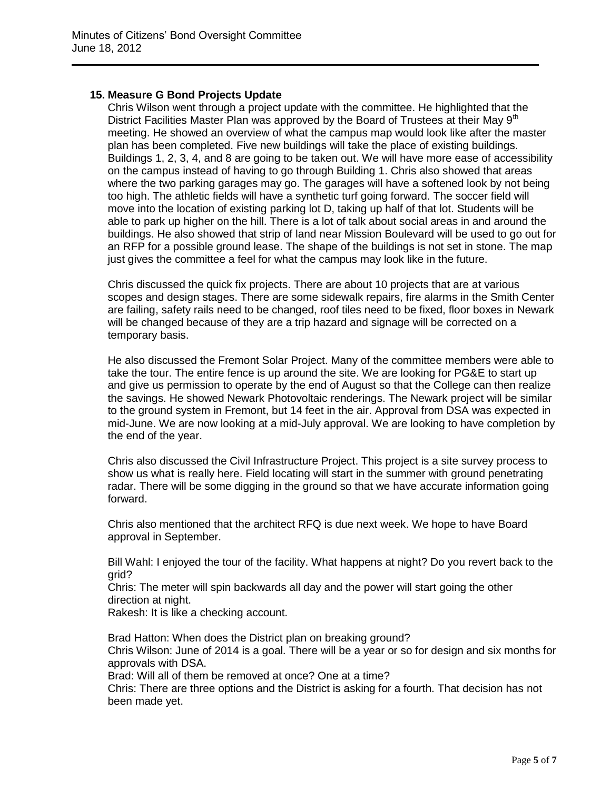### **15. Measure G Bond Projects Update**

Chris Wilson went through a project update with the committee. He highlighted that the District Facilities Master Plan was approved by the Board of Trustees at their May 9<sup>th</sup> meeting. He showed an overview of what the campus map would look like after the master plan has been completed. Five new buildings will take the place of existing buildings. Buildings 1, 2, 3, 4, and 8 are going to be taken out. We will have more ease of accessibility on the campus instead of having to go through Building 1. Chris also showed that areas where the two parking garages may go. The garages will have a softened look by not being too high. The athletic fields will have a synthetic turf going forward. The soccer field will move into the location of existing parking lot D, taking up half of that lot. Students will be able to park up higher on the hill. There is a lot of talk about social areas in and around the buildings. He also showed that strip of land near Mission Boulevard will be used to go out for an RFP for a possible ground lease. The shape of the buildings is not set in stone. The map just gives the committee a feel for what the campus may look like in the future.

Chris discussed the quick fix projects. There are about 10 projects that are at various scopes and design stages. There are some sidewalk repairs, fire alarms in the Smith Center are failing, safety rails need to be changed, roof tiles need to be fixed, floor boxes in Newark will be changed because of they are a trip hazard and signage will be corrected on a temporary basis.

He also discussed the Fremont Solar Project. Many of the committee members were able to take the tour. The entire fence is up around the site. We are looking for PG&E to start up and give us permission to operate by the end of August so that the College can then realize the savings. He showed Newark Photovoltaic renderings. The Newark project will be similar to the ground system in Fremont, but 14 feet in the air. Approval from DSA was expected in mid-June. We are now looking at a mid-July approval. We are looking to have completion by the end of the year.

Chris also discussed the Civil Infrastructure Project. This project is a site survey process to show us what is really here. Field locating will start in the summer with ground penetrating radar. There will be some digging in the ground so that we have accurate information going forward.

Chris also mentioned that the architect RFQ is due next week. We hope to have Board approval in September.

Bill Wahl: I enjoyed the tour of the facility. What happens at night? Do you revert back to the grid?

Chris: The meter will spin backwards all day and the power will start going the other direction at night.

Rakesh: It is like a checking account.

Brad Hatton: When does the District plan on breaking ground?

Chris Wilson: June of 2014 is a goal. There will be a year or so for design and six months for approvals with DSA.

Brad: Will all of them be removed at once? One at a time?

Chris: There are three options and the District is asking for a fourth. That decision has not been made yet.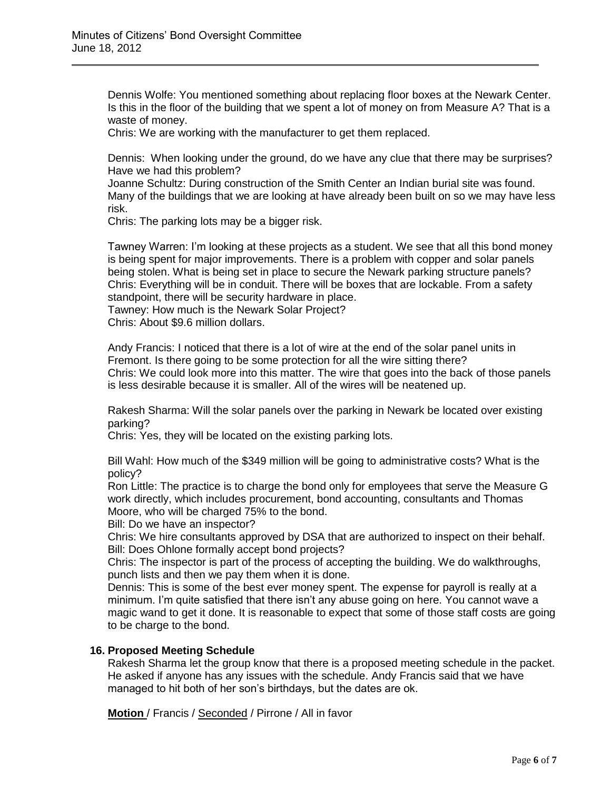Dennis Wolfe: You mentioned something about replacing floor boxes at the Newark Center. Is this in the floor of the building that we spent a lot of money on from Measure A? That is a waste of money.

Chris: We are working with the manufacturer to get them replaced.

Dennis: When looking under the ground, do we have any clue that there may be surprises? Have we had this problem?

Joanne Schultz: During construction of the Smith Center an Indian burial site was found. Many of the buildings that we are looking at have already been built on so we may have less risk.

Chris: The parking lots may be a bigger risk.

Tawney Warren: I'm looking at these projects as a student. We see that all this bond money is being spent for major improvements. There is a problem with copper and solar panels being stolen. What is being set in place to secure the Newark parking structure panels? Chris: Everything will be in conduit. There will be boxes that are lockable. From a safety standpoint, there will be security hardware in place.

Tawney: How much is the Newark Solar Project?

Chris: About \$9.6 million dollars.

Andy Francis: I noticed that there is a lot of wire at the end of the solar panel units in Fremont. Is there going to be some protection for all the wire sitting there? Chris: We could look more into this matter. The wire that goes into the back of those panels is less desirable because it is smaller. All of the wires will be neatened up.

Rakesh Sharma: Will the solar panels over the parking in Newark be located over existing parking?

Chris: Yes, they will be located on the existing parking lots.

Bill Wahl: How much of the \$349 million will be going to administrative costs? What is the policy?

Ron Little: The practice is to charge the bond only for employees that serve the Measure G work directly, which includes procurement, bond accounting, consultants and Thomas Moore, who will be charged 75% to the bond.

Bill: Do we have an inspector?

Chris: We hire consultants approved by DSA that are authorized to inspect on their behalf. Bill: Does Ohlone formally accept bond projects?

Chris: The inspector is part of the process of accepting the building. We do walkthroughs, punch lists and then we pay them when it is done.

Dennis: This is some of the best ever money spent. The expense for payroll is really at a minimum. I'm quite satisfied that there isn't any abuse going on here. You cannot wave a magic wand to get it done. It is reasonable to expect that some of those staff costs are going to be charge to the bond.

#### **16. Proposed Meeting Schedule**

Rakesh Sharma let the group know that there is a proposed meeting schedule in the packet. He asked if anyone has any issues with the schedule. Andy Francis said that we have managed to hit both of her son's birthdays, but the dates are ok.

**Motion** / Francis / Seconded / Pirrone / All in favor